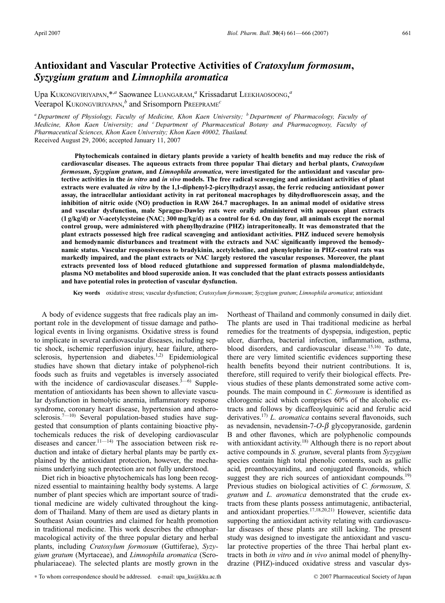# **Antioxidant and Vascular Protective Activities of** *Cratoxylum formosum***,** *Syzygium gratum* **and** *Limnophila aromatica*

Upa KUKONGVIRIYAPAN,\*,*<sup>a</sup>* Saowanee LUANGARAM, *<sup>a</sup>* Krissadarut LEEKHAOSOONG, *a* Veerapol KUKONGVIRIYAPAN, *<sup>b</sup>* and Srisomporn PREEPRAME*<sup>c</sup>*

*<sup>a</sup> Department of Physiology, Faculty of Medicine, Khon Kaen University; <sup>b</sup> Department of Pharmacology, Faculty of Medicine, Khon Kaen University; and <sup>c</sup> Department of Pharmaceutical Botany and Pharmacognosy, Faculty of Pharmaceutical Sciences, Khon Kaen University; Khon Kaen 40002, Thailand.* Received August 29, 2006; accepted January 11, 2007

**Phytochemicals contained in dietary plants provide a variety of health benefits and may reduce the risk of cardiovascular diseases. The aqueous extracts from three popular Thai dietary and herbal plants,** *Cratoxylum formosum***,** *Syzygium gratum***, and** *Limnophila aromatica***, were investigated for the antioxidant and vascular protective activities in the** *in vitro* **and** *in vivo* **models. The free radical scavenging and antioxidant activities of plant extracts were evaluated** *in vitro* **by the 1,1-diphenyl-2-picrylhydrazyl assay, the ferric reducing antioxidant power assay, the intracellular antioxidant activity in rat peritoneal macrophages by dihydrofluorescein assay, and the inhibition of nitric oxide (NO) production in RAW 264.7 macrophages. In an animal model of oxidative stress and vascular dysfunction, male Sprague-Dawley rats were orally administered with aqueous plant extracts (1 g/kg/d) or** *N***-acetylcysteine (NAC; 300 mg/kg/d) as a control for 6 d. On day four, all animals except the normal control group, were administered with phenylhydrazine (PHZ) intraperitoneally. It was demonstrated that the plant extracts possessed high free radical scavenging and antioxidant activities. PHZ induced severe hemolysis and hemodynamic disturbances and treatment with the extracts and NAC significantly improved the hemodynamic status. Vascular responsiveness to bradykinin, acetylcholine, and phenylephrine in PHZ-control rats was markedly impaired, and the plant extracts or NAC largely restored the vascular responses. Moreover, the plant extracts prevented loss of blood reduced glutathione and suppressed formation of plasma malondialdehyde, plasma NO metabolites and blood superoxide anion. It was concluded that the plant extracts possess antioxidants and have potential roles in protection of vascular dysfunction.**

**Key words** oxidative stress; vascular dysfunction; *Cratoxylum formosum*; *Syzygium gratum*; *Limnophila aromatica*; antioxidant

A body of evidence suggests that free radicals play an important role in the development of tissue damage and pathological events in living organisms. Oxidative stress is found to implicate in several cardiovascular diseases, including septic shock, ischemic reperfusion injury, hear failure, atherosclerosis, hypertension and diabetes.<sup>1,2)</sup> Epidemiological studies have shown that dietary intake of polyphenol-rich foods such as fruits and vegetables is inversely associated with the incidence of cardiovascular diseases. $3-6$ ) Supplementation of antioxidants has been shown to alleviate vascular dysfunction in hemolytic anemia, inflammatory response syndrome, coronary heart disease, hypertension and atherosclerosis.<sup>7-10)</sup> Several population-based studies have suggested that consumption of plants containing bioactive phytochemicals reduces the risk of developing cardiovascular diseases and cancer.<sup>11—14)</sup> The association between risk reduction and intake of dietary herbal plants may be partly explained by the antioxidant protection, however, the mechanisms underlying such protection are not fully understood.

Diet rich in bioactive phytochemicals has long been recognized essential to maintaining healthy body systems. A large number of plant species which are important source of traditional medicine are widely cultivated throughout the kingdom of Thailand. Many of them are used as dietary plants in Southeast Asian countries and claimed for health promotion in traditional medicine. This work describes the ethnopharmacological activity of the three popular dietary and herbal plants, including *Cratoxylum formosum* (Guttiferae), *Syzygium gratum* (Myrtaceae), and *Limnophila aromatica* (Scrophulariaceae). The selected plants are mostly grown in the Northeast of Thailand and commonly consumed in daily diet. The plants are used in Thai traditional medicine as herbal remedies for the treatments of dyspepsia, indigestion, peptic ulcer, diarrhea, bacterial infection, inflammation, asthma, blood disorders, and cardiovascular disease.15,16) To date, there are very limited scientific evidences supporting these health benefits beyond their nutrient contributions. It is, therefore, still required to verify their biological effects. Previous studies of these plants demonstrated some active compounds. The main compound in *C. formosum* is identified as chlorogenic acid which comprises 60% of the alcoholic extracts and follows by dicaffeoylquinic acid and ferulic acid derivatives.<sup>17)</sup> *L. aromatica* contains several flavonoids, such as nevadensin, nevadensin- $7$ - $O$ - $\beta$  glycopyranoside, gardenin B and other flavones, which are polyphenolic compounds with antioxidant activity.<sup>18)</sup> Although there is no report about active compounds in *S. gratum*, several plants from *Syzygium* species contain high total phenolic contents, such as gallic acid, proanthocyanidins, and conjugated flavonoids, which suggest they are rich sources of antioxidant compounds.<sup>19)</sup> Previous studies on biological activities of *C. formosum*, *S. gratum* and *L. aromatica* demonstrated that the crude extracts from these plants possess antimutagenic, antibacterial, and antioxidant properties.17,18,20,21) However, scientific data supporting the antioxidant activity relating with cardiovascular diseases of these plants are still lacking. The present study was designed to investigate the antioxidant and vascular protective properties of the three Thai herbal plant extracts in both *in vitro* and *in vivo* animal model of phenylhydrazine (PHZ)-induced oxidative stress and vascular dys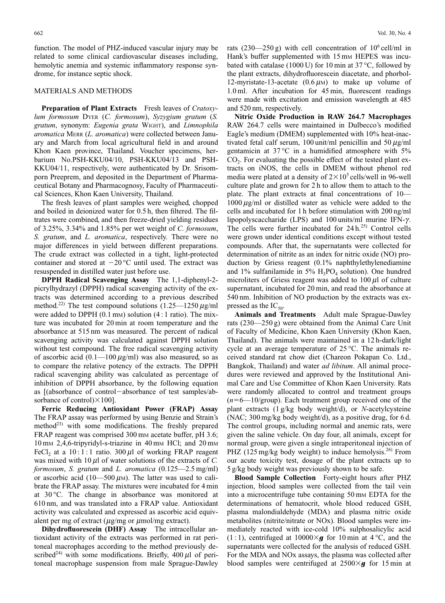function. The model of PHZ-induced vascular injury may be related to some clinical cardiovascular diseases including, hemolytic anemia and systemic inflammatory response syndrome, for instance septic shock.

# MATERIALS AND METHODS

**Preparation of Plant Extracts** Fresh leaves of *Cratoxylum formosum* DYER (*C. formosum*), *Syzygium gratum* (*S. gratum*, synonym: *Eugenia grata* WIGHT), and *Limnophila aromatica* MERR (*L. aromatica*) were collected between January and March from local agricultural field in and around Khon Kaen province, Thailand. Voucher specimens, herbarium No.PSH-KKU04/10, PSH-KKU04/13 and PSH-KKU04/11, respectively, were authenticated by Dr. Srisomporn Preeprem, and deposited in the Department of Pharmaceutical Botany and Pharmacognosy, Faculty of Pharmaceutical Sciences, Khon Kaen University, Thailand.

The fresh leaves of plant samples were weighed, chopped and boiled in deionized water for 0.5 h, then filtered. The filtrates were combined, and then freeze-dried yielding residues of 3.25%, 3.34% and 1.85% per wet weight of *C. formosum*, *S. gratum*, and *L. aromatica*, respectively. There were no major differences in yield between different preparations. The crude extract was collected in a tight, light-protected container and stored at  $-20$  °C until used. The extract was resuspended in distilled water just before use.

**DPPH Radical Scavenging Assay** The 1,1-diphenyl-2 picrylhydrazyl (DPPH) radical scavenging activity of the extracts was determined according to a previous described method.<sup>22)</sup> The test compound solutions  $(1.25 - 1250 \,\mu\text{g/ml})$ were added to DPPH  $(0.1 \text{ mm})$  solution  $(4:1 \text{ ratio})$ . The mixture was incubated for 20 min at room temperature and the absorbance at 515 nm was measured. The percent of radical scavenging activity was calculated against DPPH solution without test compound. The free radical scavenging activity of ascorbic acid  $(0.1 - 100 \mu g/ml)$  was also measured, so as to compare the relative potency of the extracts. The DPPH radical scavenging ability was calculated as percentage of inhibition of DPPH absorbance, by the following equation as  $[(absorbane of control-absorbane of test samples/ab$ sorbance of control $)\times 100$ ].

**Ferric Reducing Antioxidant Power (FRAP) Assay** The FRAP assay was performed by using Benzie and Strain's method<sup>23)</sup> with some modifications. The freshly prepared FRAP reagent was comprised 300 mm acetate buffer, pH 3.6; 10 mm 2,4,6-tripyridyl-s-triazine in 40 mm HCl; and 20 mm FeCl, at a  $10:1:1$  ratio. 300 µl of working FRAP reagent was mixed with  $10 \mu l$  of water solutions of the extracts of *C*. *formosum*, *S. gratum* and *L. aromatica* (0.125—2.5 mg/ml) or ascorbic acid (10—500  $\mu$ m). The latter was used to calibrate the FRAP assay. The mixtures were incubated for 4 min at 30 °C. The change in absorbance was monitored at 610 nm, and was translated into a FRAP value. Antioxidant activity was calculated and expressed as ascorbic acid equivalent per mg of extract  $(\mu g/mg)$  or  $\mu$ mol/mg extract).

**Dihydrofluorescein (DHF) Assay** The intracellular antioxidant activity of the extracts was performed in rat peritoneal macrophages according to the method previously described<sup>24)</sup> with some modifications. Briefly,  $400 \mu l$  of peritoneal macrophage suspension from male Sprague-Dawley rats  $(230-250 g)$  with cell concentration of  $10^6$  cell/ml in Hank's buffer supplemented with 15 mm HEPES was incubated with catalase (1000 U) for 10 min at 37 °C, followed by the plant extracts, dihydrofluorescein diacetate, and phorbol-12-myristate-13-acetate  $(0.6 \mu)$  to make up volume of 1.0 ml. After incubation for 45 min, fluorescent readings were made with excitation and emission wavelength at 485 and 520 nm, respectively.

**Nitric Oxide Production in RAW 264.7 Macrophages** RAW 264.7 cells were maintained in Dulbecco's modified Eagle's medium (DMEM) supplemented with 10% heat-inactivated fetal calf serum, 100 unit/ml penicillin and 50  $\mu$ g/ml gentamicin at  $37^{\circ}$ C in a humidified atmosphere with  $5\%$  $CO<sub>2</sub>$ . For evaluating the possible effect of the tested plant extracts on iNOS, the cells in DMEM without phenol red media were plated at a density of  $2 \times 10^5$  cells/well in 96-well culture plate and grown for 2 h to allow them to attach to the plate. The plant extracts at final concentrations of 10—  $1000 \mu g/ml$  or distilled water as vehicle were added to the cells and incubated for 1 h before stimulation with 200 ng/ml lipopolyscaccharide (LPS) and 100 units/ml murine IFN- $\gamma$ . The cells were further incubated for  $24 h^{25}$  Control cells were grown under identical conditions except without tested compounds. After that, the supernatants were collected for determination of nitrite as an index for nitric oxide (NO) production by Griess reagent (0.1% naphthylethylenediamine and 1% sulfanilamide in 5%  $H_3PO_4$  solution). One hundred microliters of Griess reagent was added to  $100 \mu l$  of culture supernatant, incubated for 20 min, and read the absorbance at 540 nm. Inhibition of NO production by the extracts was expressed as the  $IC_{50}$ .

**Animals and Treatments** Adult male Sprague-Dawley rats (230—250 g) were obtained from the Animal Care Unit of Faculty of Medicine, Khon Kaen University (Khon Kaen, Thailand). The animals were maintained in a 12 h-dark/light cycle at an average temperature of 25 °C. The animals received standard rat chow diet (Chareon Pokapan Co. Ltd., Bangkok, Thailand) and water *ad libitum*. All animal procedures were reviewed and approved by the Institutional Animal Care and Use Committee of Khon Kaen University. Rats were randomly allocated to control and treatment groups  $(n=6-10/\text{group})$ . Each treatment group received one of the plant extracts (1 g/kg body weight/d), or *N*-acetylcysteine (NAC; 300 mg/kg body weight/d), as a positive drug, for 6 d. The control groups, including normal and anemic rats, were given the saline vehicle. On day four, all animals, except for normal group, were given a single intraperitoneal injection of PHZ  $(125 \text{ mg/kg}$  body weight) to induce hemolysis.<sup>26)</sup> From our acute toxicity test, dosage of the plant extracts up to 5 g/kg body weight was previously shown to be safe.

**Blood Sample Collection** Forty-eight hours after PHZ injection, blood samples were collected from the tail vein into a microcentrifuge tube containing 50 mm EDTA for the determinations of hematocrit, whole blood reduced GSH, plasma malondialdehyde (MDA) and plasma nitric oxide metabolites (nitrite/nitrate or NOx). Blood samples were immediately reacted with ice-cold 10% sulphosalicylic acid  $(1:1)$ , centrifuged at  $10000 \times g$  for 10 min at 4 °C, and the supernatants were collected for the analysis of reduced GSH. For the MDA and NOx assays, the plasma was collected after blood samples were centrifuged at  $2500 \times g$  for 15 min at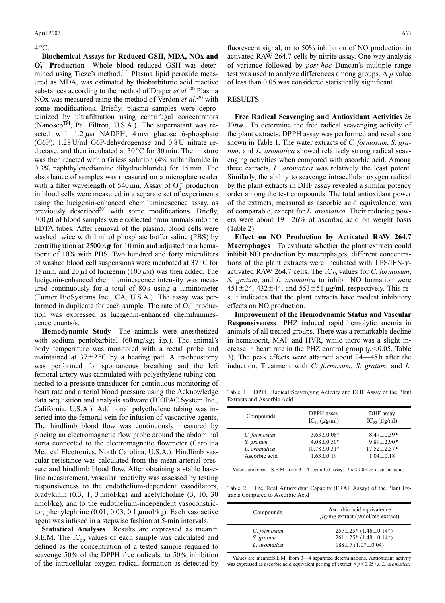### $4^{\circ}$ C.

**Biochemical Assays for Reduced GSH, MDA, NOx and**  $O_2^-$  **Production** Whole blood reduced GSH was determined using Tieze's method.<sup>27)</sup> Plasma lipid peroxide measured as MDA, was estimated by thiobarbituric acid reactive substances according to the method of Draper *et al.*28) Plasma NOx was measured using the method of Verdon *et al.*29) with some modifications. Briefly, plasma samples were deproteinized by ultrafiltration using centrifugal concentrators (Nanosep<sup>TM</sup>, Pal Filtron, U.S.A.). The supernatant was reacted with  $1.2 \mu$ M NADPH, 4 mM glucose 6-phosphate (G6P), 1.28 U/ml G6P-dehydrogenase and 0.8 U nitrate reductase, and then incubated at 30 °C for 30 min. The mixture was then reacted with a Griess solution (4% sulfanilamide in 0.3% naphthylenediamine dihydrochloride) for 15 min. The absorbance of samples was measured on a microplate reader with a filter wavelength of 540 nm. Assay of  $O_2^-$  production in blood cells were measured in a separate set of experiments using the lucigenin-enhanced chemiluminescence assay, as previously described $3^{30}$  with some modifications. Briefly,  $300 \mu l$  of blood samples were collected from animals into the EDTA tubes. After removal of the plasma, blood cells were washed twice with 1 ml of phosphate buffer saline (PBS) by centrifugation at  $2500 \times g$  for 10 min and adjusted to a hematocrit of 10% with PBS. Two hundred and forty microliters of washed blood cell suspensions were incubated at 37 °C for 15 min, and 20  $\mu$ l of lucigenin (100  $\mu$ M) was then added. The lucigenin-enhanced chemiluminescence intensity was measured continuously for a total of 80 s using a luminometer (Turner BioSystems Inc., CA, U.S.A.). The assay was performed in duplicate for each sample. The rate of  $O_2^-$  production was expressed as lucigenin-enhanced chemiluminescence counts/s.

**Hemodynamic Study** The animals were anesthetized with sodium pentobarbital (60 mg/kg; i.p.). The animal's body temperature was monitored with a rectal probe and maintained at  $37\pm2\degree C$  by a heating pad. A tracheostomy was performed for spontaneous breathing and the left femoral artery was cannulated with polyethylene tubing connected to a pressure transducer for continuous monitoring of heart rate and arterial blood pressure using the Acknowledge data acquisition and analysis software (BIOPAC System Inc., California, U.S.A.). Additional polyethylene tubing was inserted into the femoral vein for infusion of vasoactive agents. The hindlimb blood flow was continuously measured by placing an electromagnetic flow probe around the abdominal aorta connected to the electromagnetic flowmeter (Carolina Medical Electronics, North Carolina, U.S.A.). Hindlimb vascular resistance was calculated from the mean arterial pressure and hindlimb blood flow. After obtaining a stable baseline measurement, vascular reactivity was assessed by testing responsiveness to the endothelium-dependent vasodilators, bradykinin (0.3, 1, 3 nmol/kg) and acetylcholine (3, 10, 30 nmol/kg), and to the endothelium-independent vasoconstrictor, phenylephrine  $(0.01, 0.03, 0.1 \mu \text{mol/kg})$ . Each vasoactive agent was infused in a stepwise fashion at 5-min intervals.

**Statistical Analyses** Results are expressed as mean S.E.M. The  $IC_{50}$  values of each sample was calculated and defined as the concentration of a tested sample required to scavenge 50% of the DPPH free radicals, to 50% inhibition of the intracellular oxygen radical formation as detected by fluorescent signal, or to 50% inhibition of NO production in activated RAW 264.7 cells by nitrite assay. One-way analysis of variance followed by *post-hoc* Duncan's multiple range test was used to analyze differences among groups. A *p* value of less than 0.05 was considered statistically significant.

#### RESULTS

**Free Radical Scavenging and Antioxidant Activities** *in Vitro* To determine the free radical scavenging activity of the plant extracts, DPPH assay was performed and results are shown in Table 1. The water extracts of *C. formosum*, *S. gratum*, and *L. aromatica* showed relatively strong radical scavenging activities when compared with ascorbic acid. Among three extracts, *L. aromatica* was relatively the least potent. Similarly, the ability to scavenge intracellular oxygen radical by the plant extracts in DHF assay revealed a similar potency order among the test compounds. The total antioxidant power of the extracts, measured as ascorbic acid equivalence, was of comparable, except for *L. aromatica*. Their reducing powers were about 19—26% of ascorbic acid on weight basis (Table 2).

**Effect on NO Production by Activated RAW 264.7 Macrophages** To evaluate whether the plant extracts could inhibit NO production by macrophages, different concentrations of the plant extracts were incubated with LPS/IFN- $\gamma$ activated RAW 264.7 cells. The  $IC_{50}$  values for *C. formosum*, *S. gratum*, and *L. aromatica* to inhibit NO formation were  $451 \pm 24$ ,  $432 \pm 44$ , and  $553 \pm 51 \mu g/ml$ , respectively. This result indicates that the plant extracts have modest inhibitory effects on NO production.

**Improvement of the Hemodynamic Status and Vascular Responsiveness** PHZ induced rapid hemolytic anemia in animals of all treated groups. There was a remarkable decline in hematocrit, MAP and HVR, while there was a slight increase in heart rate in the PHZ control group  $(p<0.05$ , Table 3). The peak effects were attained about 24—48 h after the induction. Treatment with *C. formosum*, *S. gratum*, and *L.*

Table 1. DPPH Radical Scavenging Activity and DHF Assay of the Plant Extracts and Ascorbic Acid

| Compounds     | DPPH assay<br>$IC_{50} (\mu g/ml)$ | DHF assay<br>$IC_{50} (\mu g/ml)$ |
|---------------|------------------------------------|-----------------------------------|
| C. formosum   | $3.63 \pm 0.08*$                   | $8.47 \pm 0.39*$                  |
| S. gratum     | $4.08 \pm 0.50*$                   | $9.89 \pm 2.90*$                  |
| L. aromatica  | $10.78 \pm 0.31*$                  | $17.52 \pm 2.57*$                 |
| Ascorbic acid | $1.63 \pm 0.19$                    | $1.04 \pm 0.18$                   |

Values are mean $\pm$  S.E.M. from 3—4 separated assays.  $* p$ <0.05 *vs.* ascorbic acid.

Table 2. The Total Antioxidant Capacity (FRAP Assay) of the Plant Extracts Compared to Ascorbic Acid

| Compounds    | Ascorbic acid equivalence<br>$\mu$ g/mg extract ( $\mu$ mol/mg extract) |  |  |
|--------------|-------------------------------------------------------------------------|--|--|
| C. formosum  | $257 \pm 25$ (1.46 $\pm$ 0.14 <sup>*</sup> )                            |  |  |
| S. gratum    | $261 \pm 25$ * $(1.48 \pm 0.14)$                                        |  |  |
| L. aromatica | $188 \pm 7(1.07 \pm 0.04)$                                              |  |  |

Values are mean $\pm$ S.E.M. from 3—4 separated determinations. Antioxidant activity was expressed as ascorbic acid equivalent per mg of extract. *∗ p* ≤0.05 *vs. L. aromatica*.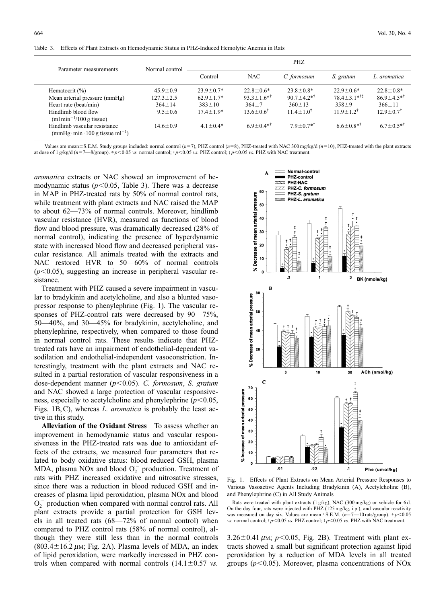|  | Table 3. Effects of Plant Extracts on Hemodynamic Status in PHZ-Induced Hemolytic Anemia in Rats |  |
|--|--------------------------------------------------------------------------------------------------|--|
|  |                                                                                                  |  |

| Parameter measurements                                              | Normal control  | PHZ             |                               |                               |                                |                              |
|---------------------------------------------------------------------|-----------------|-----------------|-------------------------------|-------------------------------|--------------------------------|------------------------------|
|                                                                     |                 | Control         | <b>NAC</b>                    | C. formosum                   | S. gratum                      | L. aromatica                 |
| Hematocrit $(\% )$                                                  | $45.9 \pm 0.9$  | $23.9 \pm 0.7*$ | $22.8 \pm 0.6^*$              | $23.8 \pm 0.8^*$              | $22.9 \pm 0.6*$                | $22.8 \pm 0.8^*$             |
| Mean arterial pressure (mmHg)                                       | $127.3 \pm 2.5$ | $62.9 \pm 1.7*$ | $93.3 \pm 1.6$ * <sup>†</sup> | $90.7 \pm 4.2$ * <sup>†</sup> | $78.4 \pm 3.1$ * <sup>†‡</sup> | $86.9 \pm 4.5$ <sup>*†</sup> |
| Heart rate (beat/min)                                               | $364 \pm 14$    | $383 \pm 10$    | $364 \pm 7$                   | $360 \pm 13$                  | $358 \pm 9$                    | $366 \pm 11$                 |
| Hindlimb blood flow<br>(ml min <sup>-1</sup> /100 g tissue)         | $9.5 \pm 0.6$   | $17.4 \pm 1.9*$ | $13.6 \pm 0.6^{\dagger}$      | $11.4 \pm 1.0^{\dagger}$      | $11.9 + 1.2$ <sup>†</sup>      | $12.9 \pm 0.7$ <sup>†</sup>  |
| Hindlimb vascular resistance<br>(mmHg·min·100 g tissue m $1^{-1}$ ) | $14.6 \pm 0.9$  | $41+04*$        | $6.9 \pm 0.4$ <sup>*†</sup>   | $79+0.7**$                    | $6.6 \pm 0.8$ *†               | $6.7 \pm 0.5$ *†             |

Values are mean±S.E.M. Study groups included: normal control  $(n=7)$ , PHZ control  $(n=8)$ , PHZ-treated with NAC 300 mg/kg/d  $(n=10)$ , PHZ-treated with the plant extracts at dose of 1 g/kg/d (*n*7—8/group). ∗ *p*0.05 *vs.* normal control; † *p*0.05 *vs.* PHZ control; ‡ *p*0.05 *vs.* PHZ with NAC treatment.

*aromatica* extracts or NAC showed an improvement of hemodynamic status  $(p<0.05$ , Table 3). There was a decrease in MAP in PHZ-treated rats by 50% of normal control rats, while treatment with plant extracts and NAC raised the MAP to about 62—73% of normal controls. Moreover, hindlimb vascular resistance (HVR), measured as functions of blood flow and blood pressure, was dramatically decreased (28% of normal control), indicating the presence of hyperdynamic state with increased blood flow and decreased peripheral vascular resistance. All animals treated with the extracts and NAC restored HVR to 50—60% of normal controls  $(p<0.05)$ , suggesting an increase in peripheral vascular resistance.

Treatment with PHZ caused a severe impairment in vascular to bradykinin and acetylcholine, and also a blunted vasopressor response to phenylephrine (Fig. 1). The vascular responses of PHZ-control rats were decreased by 90—75%, 50—40%, and 30—45% for bradykinin, acetylcholine, and phenylephrine, respectively, when compared to those found in normal control rats. These results indicate that PHZtreated rats have an impairment of endothelial-dependent vasodilation and endothelial-independent vasoconstriction. Interestingly, treatment with the plant extracts and NAC resulted in a partial restoration of vascular responsiveness in a dose-dependent manner ( $p$ <0.05). *C. formosum*, *S. gratum* and NAC showed a large protection of vascular responsiveness, especially to acetylcholine and phenylephrine  $(p<0.05$ , Figs. 1B, C), whereas *L. aromatica* is probably the least active in this study.

**Alleviation of the Oxidant Stress** To assess whether an improvement in hemodynamic status and vascular responsiveness in the PHZ-treated rats was due to antioxidant effects of the extracts, we measured four parameters that related to body oxidative status: blood reduced GSH, plasma MDA, plasma NOx and blood  $O_2^-$  production. Treatment of rats with PHZ increased oxidative and nitrosative stresses, since there was a reduction in blood reduced GSH and increases of plasma lipid peroxidation, plasma NOx and blood  $O_2^-$  production when compared with normal control rats. All plant extracts provide a partial protection for GSH levels in all treated rats (68—72% of normal control) when compared to PHZ control rats (58% of normal control), although they were still less than in the normal controls  $(803.4 \pm 16.2 \mu \text{m}; \text{Fig. 2A})$ . Plasma levels of MDA, an index of lipid peroxidation, were markedly increased in PHZ controls when compared with normal controls  $(14.1 \pm 0.57 \text{ vs.})$ 



Fig. 1. Effects of Plant Extracts on Mean Arterial Pressure Responses to Various Vasoactive Agents Including Bradykinin (A), Acetylcholine (B), and Phenylephrine (C) in All Study Animals

Rats were treated with plant extracts (1 g/kg), NAC (300 mg/kg) or vehicle for 6 d. On the day four, rats were injected with PHZ (125 mg/kg, i.p.), and vascular reactivity was measured on day six. Values are mean±S.E.M.  $(n=7-10 \text{ rats/group})$ . *\* p*<0.05 *vs.* normal control;  $\frac{1}{2}p \le 0.05$  *vs.* PHZ control;  $\frac{1}{2}p \le 0.05$  *vs.* PHZ with NAC treatment.

 $3.26\pm0.41 \mu$ M;  $p<0.05$ , Fig. 2B). Treatment with plant extracts showed a small but significant protection against lipid peroxidation by a reduction of MDA levels in all treated groups  $(p<0.05)$ . Moreover, plasma concentrations of NOx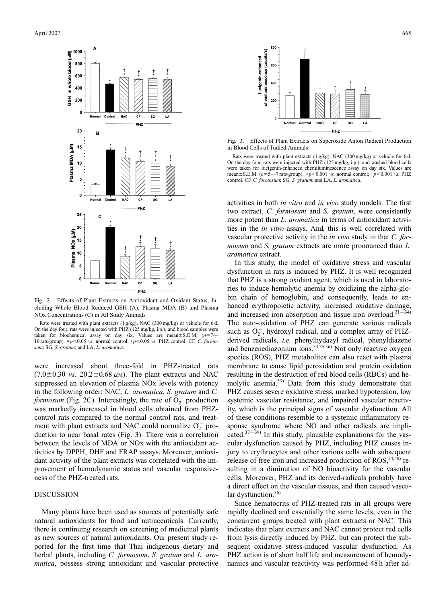

Fig. 2. Effects of Plant Extracts on Antioxidant and Oxidant Status, Including Whole Blood Reduced GSH (A), Plasma MDA (B) and Plasma NOx Concentrations (C) in All Study Animals

Rats were treated with plant extracts (1 g/kg), NAC (300 mg/kg) or vehicle for 6 d. On the day four, rats were injected with PHZ (125 mg/kg, i.p.), and blood samples were taken for biochemical assay on day six. Values are mean $\pm$ S.E.M.  $(n=7-$ 10 rats/group). \*p<0.05 *vs.* normal control; †p<0.05 *vs.* PHZ control. CF, *C. formosum*; SG, *S. gratum*; and LA, *L. aromatica*.

were increased about three-fold in PHZ-treated rats  $(7.0\pm0.30 \text{ vs. } 20.2\pm0.68 \text{ \mu})$ . The plant extracts and NAC suppressed an elevation of plasma NOx levels with potency in the following order: NAC, *L. aromatica*, *S. gratum* and *C. formosum* (Fig. 2C). Interestingly, the rate of  $O_2^-$  production was markedly increased in blood cells obtained from PHZcontrol rats compared to the normal control rats, and treatment with plant extracts and NAC could normalize  $O_2^-$  production to near basal rates (Fig. 3). There was a correlation between the levels of MDA or NOx with the antioxidant activities by DPPH, DHF and FRAP assays. Moreover, antioxidant activity of the plant extracts was correlated with the improvement of hemodynamic status and vascular responsiveness of the PHZ-treated rats.

# DISCUSSION

Many plants have been used as sources of potentially safe natural antioxidants for food and nutraceuticals. Currently, there is continuing research on screening of medicinal plants as new sources of natural antioxidants. Our present study reported for the first time that Thai indigenous dietary and herbal plants, including *C. formosum*, *S. gratum* and *L. aromatica*, possess strong antioxidant and vascular protective



Fig. 3. Effects of Plant Extracts on Superoxide Anion Radical Production in Blood Cells of Tudied Animals

Rats were treated with plant extracts (1 g/kg), NAC (300 mg/kg) or vehicle for 6 d. On the day four, rats were injected with PHZ (125 mg/kg, i.p.), and washed blood cells were taken for lucigenin-enhanced chemiluminescence assay on day six. Values are mean±S.E.M. (*n*=5—7 rats/group). \* *p*<0.001 *vs.* normal control; † *p*<0.001 *vs.* PHZ control. CF, *C. formosum*; SG, *S. gratum*; and LA, *L. aromatica*.

activities in both *in vitro* and *in vivo* study models. The first two extract, *C. formosum* and *S. gratum*, were consistently more potent than *L. aromatica* in terms of antioxidant activities in the *in vitro* assays. And, this is well correlated with vascular protective activity in the *in vivo* study in that *C. formosum* and *S. gratum* extracts are more pronounced than *L. aromatica* extract.

In this study, the model of oxidative stress and vascular dysfunction in rats is induced by PHZ. It is well recognized that PHZ is a strong oxidant agent, which is used in laboratories to induce hemolytic anemia by oxidizing the alpha-globin chain of hemoglobin, and consequently, leads to enhanced erythropoietic activity, increased oxidative damage, and increased iron absorption and tissue iron overload. $31-34$ ) The auto-oxidation of PHZ can generate various radicals such as  $O_2^-$ , hydroxyl radical, and a complex array of PHZderived radicals, *i.e.* phenylhydazyl radical, phenyldiazene and benzenediazonium ions. $33,35,36$ ) Not only reactive oxygen species (ROS), PHZ metabolites can also react with plasma membrane to cause lipid peroxidation and protein oxidation resulting in the destruction of red blood cells (RBCs) and hemolytic anemia.33) Data from this study demonstrate that PHZ causes severe oxidative stress, marked hypotension, low systemic vascular resistance, and impaired vascular reactivity, which is the principal signs of vascular dysfunction. All of these conditions resemble to a systemic inflammatory response syndrome where NO and other radicals are implicated. $37-39$ ) In this study, plausible explanations for the vascular dysfunction caused by PHZ, including PHZ causes injury to erythrocytes and other various cells with subsequent release of free iron and increased production of ROS,  $34,40$ ) resulting in a diminution of NO bioactivity for the vascular cells. Moreover, PHZ and its derived-radicals probably have a direct effect on the vascular tissues, and then caused vascular dysfunction.<sup>36)</sup>

Since hematocrits of PHZ-treated rats in all groups were rapidly declined and essentially the same levels, even in the concurrent groups treated with plant extracts or NAC. This indicates that plant extracts and NAC cannot protect red cells from lysis directly induced by PHZ, but can protect the subsequent oxidative stress-induced vascular dysfunction. As PHZ action is of short half life and measurement of hemodynamics and vascular reactivity was performed 48 h after ad